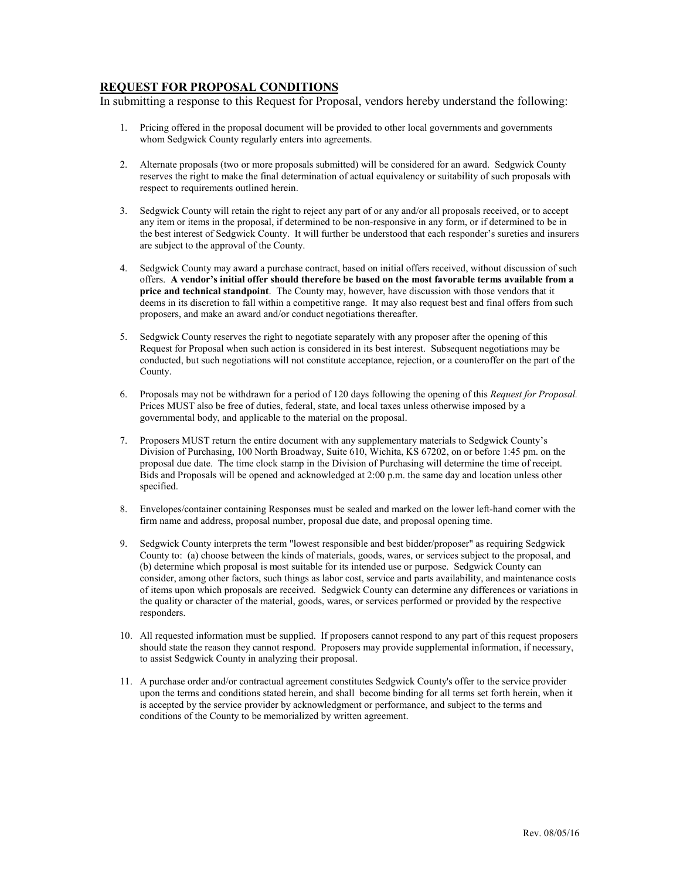## **REQUEST FOR PROPOSAL CONDITIONS**

In submitting a response to this Request for Proposal, vendors hereby understand the following:

- 1. Pricing offered in the proposal document will be provided to other local governments and governments whom Sedgwick County regularly enters into agreements.
- 2. Alternate proposals (two or more proposals submitted) will be considered for an award. Sedgwick County reserves the right to make the final determination of actual equivalency or suitability of such proposals with respect to requirements outlined herein.
- 3. Sedgwick County will retain the right to reject any part of or any and/or all proposals received, or to accept any item or items in the proposal, if determined to be non-responsive in any form, or if determined to be in the best interest of Sedgwick County. It will further be understood that each responder's sureties and insurers are subject to the approval of the County.
- 4. Sedgwick County may award a purchase contract, based on initial offers received, without discussion of such offers. **A vendor's initial offer should therefore be based on the most favorable terms available from a price and technical standpoint**. The County may, however, have discussion with those vendors that it deems in its discretion to fall within a competitive range. It may also request best and final offers from such proposers, and make an award and/or conduct negotiations thereafter.
- 5. Sedgwick County reserves the right to negotiate separately with any proposer after the opening of this Request for Proposal when such action is considered in its best interest. Subsequent negotiations may be conducted, but such negotiations will not constitute acceptance, rejection, or a counteroffer on the part of the County.
- 6. Proposals may not be withdrawn for a period of 120 days following the opening of this *Request for Proposal.* Prices MUST also be free of duties, federal, state, and local taxes unless otherwise imposed by a governmental body, and applicable to the material on the proposal.
- 7. Proposers MUST return the entire document with any supplementary materials to Sedgwick County's Division of Purchasing, 100 North Broadway, Suite 610, Wichita, KS 67202, on or before 1:45 pm. on the proposal due date. The time clock stamp in the Division of Purchasing will determine the time of receipt. Bids and Proposals will be opened and acknowledged at 2:00 p.m. the same day and location unless other specified.
- 8. Envelopes/container containing Responses must be sealed and marked on the lower left-hand corner with the firm name and address, proposal number, proposal due date, and proposal opening time.
- 9. Sedgwick County interprets the term "lowest responsible and best bidder/proposer" as requiring Sedgwick County to: (a) choose between the kinds of materials, goods, wares, or services subject to the proposal, and (b) determine which proposal is most suitable for its intended use or purpose. Sedgwick County can consider, among other factors, such things as labor cost, service and parts availability, and maintenance costs of items upon which proposals are received. Sedgwick County can determine any differences or variations in the quality or character of the material, goods, wares, or services performed or provided by the respective responders.
- 10. All requested information must be supplied. If proposers cannot respond to any part of this request proposers should state the reason they cannot respond. Proposers may provide supplemental information, if necessary, to assist Sedgwick County in analyzing their proposal.
- 11. A purchase order and/or contractual agreement constitutes Sedgwick County's offer to the service provider upon the terms and conditions stated herein, and shall become binding for all terms set forth herein, when it is accepted by the service provider by acknowledgment or performance, and subject to the terms and conditions of the County to be memorialized by written agreement.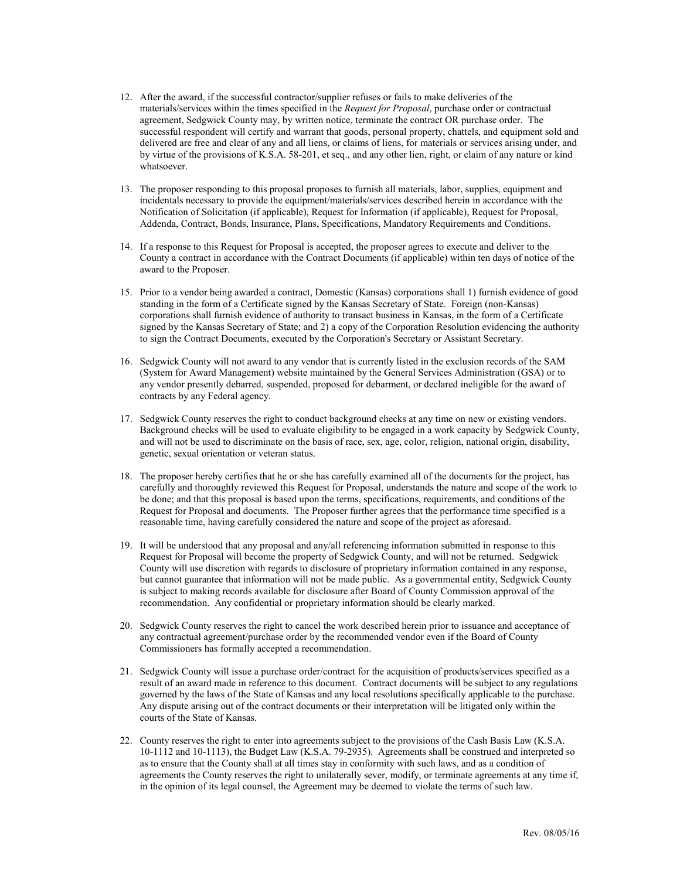- 12. After the award, if the successful contractor/supplier refuses or fails to make deliveries of the materials/services within the times specified in the *Request for Proposal*, purchase order or contractual agreement, Sedgwick County may, by written notice, terminate the contract OR purchase order. The successful respondent will certify and warrant that goods, personal property, chattels, and equipment sold and delivered are free and clear of any and all liens, or claims of liens, for materials or services arising under, and by virtue of the provisions of K.S.A. 58-201, et seq., and any other lien, right, or claim of any nature or kind whatsoever.
- 13. The proposer responding to this proposal proposes to furnish all materials, labor, supplies, equipment and incidentals necessary to provide the equipment/materials/services described herein in accordance with the Notification of Solicitation (if applicable), Request for Information (if applicable), Request for Proposal, Addenda, Contract, Bonds, Insurance, Plans, Specifications, Mandatory Requirements and Conditions.
- 14. If a response to this Request for Proposal is accepted, the proposer agrees to execute and deliver to the County a contract in accordance with the Contract Documents (if applicable) within ten days of notice of the award to the Proposer.
- 15. Prior to a vendor being awarded a contract, Domestic (Kansas) corporations shall 1) furnish evidence of good standing in the form of a Certificate signed by the Kansas Secretary of State. Foreign (non-Kansas) corporations shall furnish evidence of authority to transact business in Kansas, in the form of a Certificate signed by the Kansas Secretary of State; and 2) a copy of the Corporation Resolution evidencing the authority to sign the Contract Documents, executed by the Corporation's Secretary or Assistant Secretary.
- 16. Sedgwick County will not award to any vendor that is currently listed in the exclusion records of the SAM (System for Award Management) website maintained by the General Services Administration (GSA) or to any vendor presently debarred, suspended, proposed for debarment, or declared ineligible for the award of contracts by any Federal agency.
- 17. Sedgwick County reserves the right to conduct background checks at any time on new or existing vendors. Background checks will be used to evaluate eligibility to be engaged in a work capacity by Sedgwick County, and will not be used to discriminate on the basis of race, sex, age, color, religion, national origin, disability, genetic, sexual orientation or veteran status.
- 18. The proposer hereby certifies that he or she has carefully examined all of the documents for the project, has carefully and thoroughly reviewed this Request for Proposal, understands the nature and scope of the work to be done; and that this proposal is based upon the terms, specifications, requirements, and conditions of the Request for Proposal and documents. The Proposer further agrees that the performance time specified is a reasonable time, having carefully considered the nature and scope of the project as aforesaid.
- 19. It will be understood that any proposal and any/all referencing information submitted in response to this Request for Proposal will become the property of Sedgwick County, and will not be returned. Sedgwick County will use discretion with regards to disclosure of proprietary information contained in any response, but cannot guarantee that information will not be made public. As a governmental entity, Sedgwick County is subject to making records available for disclosure after Board of County Commission approval of the recommendation. Any confidential or proprietary information should be clearly marked.
- 20. Sedgwick County reserves the right to cancel the work described herein prior to issuance and acceptance of any contractual agreement/purchase order by the recommended vendor even if the Board of County Commissioners has formally accepted a recommendation.
- 21. Sedgwick County will issue a purchase order/contract for the acquisition of products/services specified as a result of an award made in reference to this document. Contract documents will be subject to any regulations governed by the laws of the State of Kansas and any local resolutions specifically applicable to the purchase. Any dispute arising out of the contract documents or their interpretation will be litigated only within the courts of the State of Kansas.
- 22. County reserves the right to enter into agreements subject to the provisions of the Cash Basis Law (K.S.A. 10-1112 and 10-1113), the Budget Law (K.S.A. 79-2935). Agreements shall be construed and interpreted so as to ensure that the County shall at all times stay in conformity with such laws, and as a condition of agreements the County reserves the right to unilaterally sever, modify, or terminate agreements at any time if, in the opinion of its legal counsel, the Agreement may be deemed to violate the terms of such law.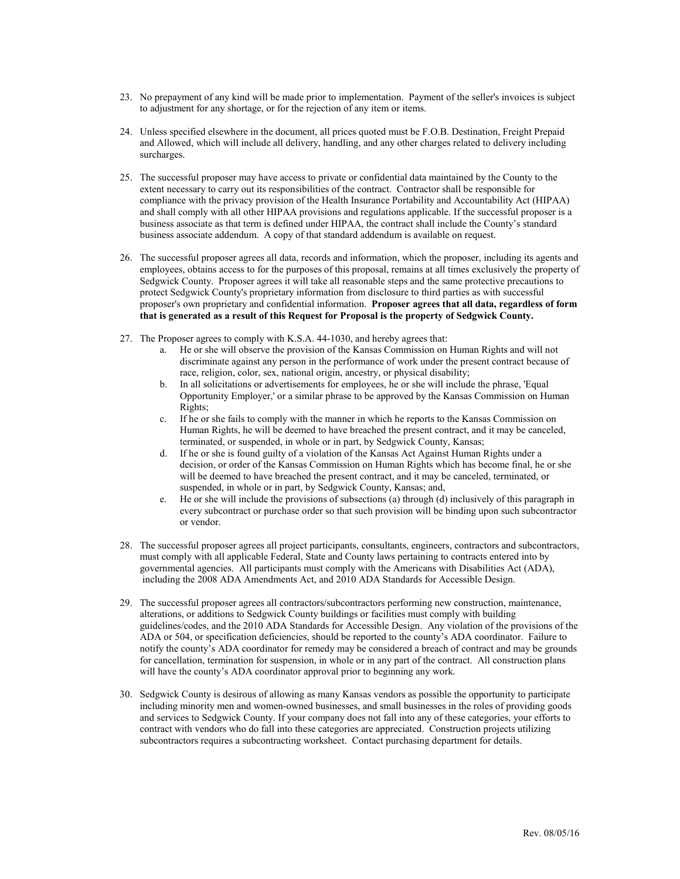- 23. No prepayment of any kind will be made prior to implementation. Payment of the seller's invoices is subject to adjustment for any shortage, or for the rejection of any item or items.
- 24. Unless specified elsewhere in the document, all prices quoted must be F.O.B. Destination, Freight Prepaid and Allowed, which will include all delivery, handling, and any other charges related to delivery including surcharges.
- 25. The successful proposer may have access to private or confidential data maintained by the County to the extent necessary to carry out its responsibilities of the contract. Contractor shall be responsible for compliance with the privacy provision of the Health Insurance Portability and Accountability Act (HIPAA) and shall comply with all other HIPAA provisions and regulations applicable. If the successful proposer is a business associate as that term is defined under HIPAA, the contract shall include the County's standard business associate addendum. A copy of that standard addendum is available on request.
- 26. The successful proposer agrees all data, records and information, which the proposer, including its agents and employees, obtains access to for the purposes of this proposal, remains at all times exclusively the property of Sedgwick County. Proposer agrees it will take all reasonable steps and the same protective precautions to protect Sedgwick County's proprietary information from disclosure to third parties as with successful proposer's own proprietary and confidential information. **Proposer agrees that all data, regardless of form that is generated as a result of this Request for Proposal is the property of Sedgwick County.**
- 27. The Proposer agrees to comply with K.S.A. 44-1030, and hereby agrees that:
	- a. He or she will observe the provision of the Kansas Commission on Human Rights and will not discriminate against any person in the performance of work under the present contract because of race, religion, color, sex, national origin, ancestry, or physical disability;
	- b. In all solicitations or advertisements for employees, he or she will include the phrase, 'Equal Opportunity Employer,' or a similar phrase to be approved by the Kansas Commission on Human Rights;
	- c. If he or she fails to comply with the manner in which he reports to the Kansas Commission on Human Rights, he will be deemed to have breached the present contract, and it may be canceled, terminated, or suspended, in whole or in part, by Sedgwick County, Kansas;
	- d. If he or she is found guilty of a violation of the Kansas Act Against Human Rights under a decision, or order of the Kansas Commission on Human Rights which has become final, he or she will be deemed to have breached the present contract, and it may be canceled, terminated, or suspended, in whole or in part, by Sedgwick County, Kansas; and,
	- e. He or she will include the provisions of subsections (a) through (d) inclusively of this paragraph in every subcontract or purchase order so that such provision will be binding upon such subcontractor or vendor.
- 28. The successful proposer agrees all project participants, consultants, engineers, contractors and subcontractors, must comply with all applicable Federal, State and County laws pertaining to contracts entered into by governmental agencies. All participants must comply with the Americans with Disabilities Act (ADA), including the 2008 ADA Amendments Act, and 2010 ADA Standards for Accessible Design.
- 29. The successful proposer agrees all contractors/subcontractors performing new construction, maintenance, alterations, or additions to Sedgwick County buildings or facilities must comply with building guidelines/codes, and the 2010 ADA Standards for Accessible Design. Any violation of the provisions of the ADA or 504, or specification deficiencies, should be reported to the county's ADA coordinator. Failure to notify the county's ADA coordinator for remedy may be considered a breach of contract and may be grounds for cancellation, termination for suspension, in whole or in any part of the contract. All construction plans will have the county's ADA coordinator approval prior to beginning any work.
- 30. Sedgwick County is desirous of allowing as many Kansas vendors as possible the opportunity to participate including minority men and women-owned businesses, and small businesses in the roles of providing goods and services to Sedgwick County. If your company does not fall into any of these categories, your efforts to contract with vendors who do fall into these categories are appreciated. Construction projects utilizing subcontractors requires a subcontracting worksheet. Contact purchasing department for details.